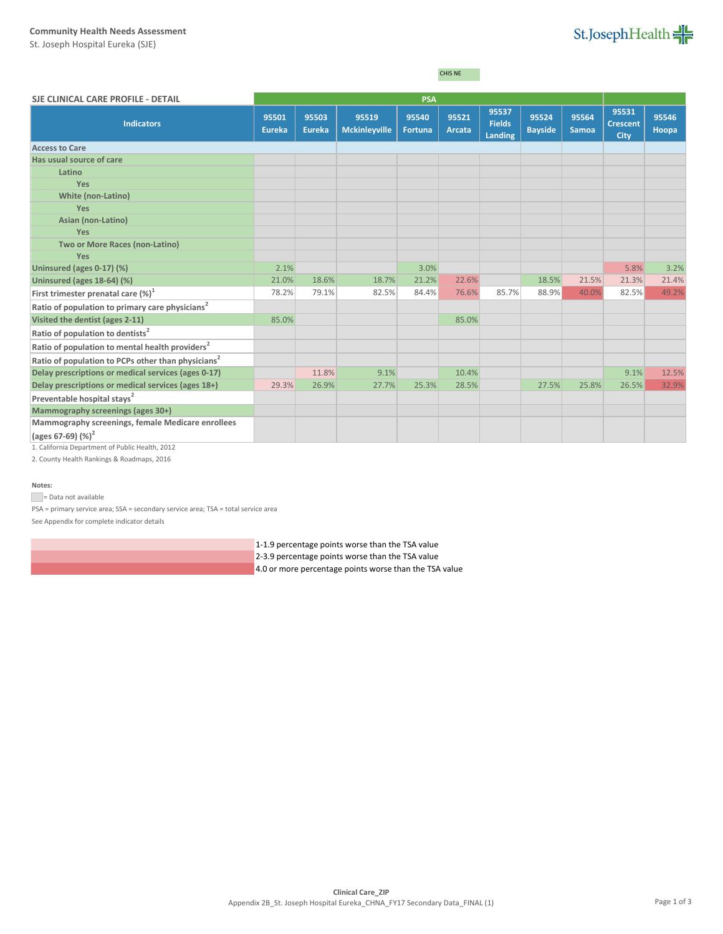#### **Community Health Needs Assessment**

St. Joseph Hospital Eureka (SJE)

# St.JosephHealth

CHIS NE

| 95537<br>95531<br>95521<br>95524<br>95564<br>95546<br>95501<br>95503<br>95540<br>95519<br><b>Fields</b><br><b>Indicators</b><br><b>Crescent</b><br><b>Bayside</b><br><b>Eureka</b><br><b>Mckinleyville</b><br><b>Eureka</b><br>Arcata<br><b>Samoa</b><br><b>Fortuna</b><br>Hoopa<br><b>Landing</b><br>City<br><b>Access to Care</b><br>Has usual source of care<br>Latino<br>Yes<br><b>White (non-Latino)</b><br>Yes<br>Asian (non-Latino)<br>Yes<br>Two or More Races (non-Latino)<br>Yes<br>2.1%<br>Uninsured (ages 0-17) (%)<br>3.0%<br>5.8%<br>21.0%<br>18.6%<br>18.7%<br>21.2%<br>22.6%<br>18.5%<br>21.5%<br>21.3%<br>Uninsured (ages 18-64) (%)<br>78.2%<br>79.1%<br>82.5%<br>84.4%<br>76.6%<br>85.7%<br>88.9%<br>40.0%<br>82.5%<br>First trimester prenatal care $(\%)^1$<br>Ratio of population to primary care physicians <sup>2</sup><br>Visited the dentist (ages 2-11)<br>85.0%<br>85.0%<br>Ratio of population to dentists <sup>2</sup><br>Ratio of population to mental health providers <sup>2</sup><br>Ratio of population to PCPs other than physicians <sup>2</sup><br>Delay prescriptions or medical services (ages 0-17)<br>11.8%<br>9.1%<br>10.4%<br>9.1%<br>28.5%<br>Delay prescriptions or medical services (ages 18+)<br>29.3%<br>26.9%<br>27.7%<br>25.3%<br>27.5%<br>25.8%<br>26.5%<br>Preventable hospital stays <sup>2</sup><br>Mammography screenings (ages 30+)<br>Mammography screenings, female Medicare enrollees | SJE CLINICAL CARE PROFILE - DETAIL |  | <b>PSA</b> |  |  |  |
|---------------------------------------------------------------------------------------------------------------------------------------------------------------------------------------------------------------------------------------------------------------------------------------------------------------------------------------------------------------------------------------------------------------------------------------------------------------------------------------------------------------------------------------------------------------------------------------------------------------------------------------------------------------------------------------------------------------------------------------------------------------------------------------------------------------------------------------------------------------------------------------------------------------------------------------------------------------------------------------------------------------------------------------------------------------------------------------------------------------------------------------------------------------------------------------------------------------------------------------------------------------------------------------------------------------------------------------------------------------------------------------------------------------------------------------------------|------------------------------------|--|------------|--|--|--|
| 49.2%<br>32.9%                                                                                                                                                                                                                                                                                                                                                                                                                                                                                                                                                                                                                                                                                                                                                                                                                                                                                                                                                                                                                                                                                                                                                                                                                                                                                                                                                                                                                                    |                                    |  |            |  |  |  |
|                                                                                                                                                                                                                                                                                                                                                                                                                                                                                                                                                                                                                                                                                                                                                                                                                                                                                                                                                                                                                                                                                                                                                                                                                                                                                                                                                                                                                                                   |                                    |  |            |  |  |  |
|                                                                                                                                                                                                                                                                                                                                                                                                                                                                                                                                                                                                                                                                                                                                                                                                                                                                                                                                                                                                                                                                                                                                                                                                                                                                                                                                                                                                                                                   |                                    |  |            |  |  |  |
|                                                                                                                                                                                                                                                                                                                                                                                                                                                                                                                                                                                                                                                                                                                                                                                                                                                                                                                                                                                                                                                                                                                                                                                                                                                                                                                                                                                                                                                   |                                    |  |            |  |  |  |
|                                                                                                                                                                                                                                                                                                                                                                                                                                                                                                                                                                                                                                                                                                                                                                                                                                                                                                                                                                                                                                                                                                                                                                                                                                                                                                                                                                                                                                                   |                                    |  |            |  |  |  |
|                                                                                                                                                                                                                                                                                                                                                                                                                                                                                                                                                                                                                                                                                                                                                                                                                                                                                                                                                                                                                                                                                                                                                                                                                                                                                                                                                                                                                                                   |                                    |  |            |  |  |  |
| 3.2%<br>21.4%<br>12.5%                                                                                                                                                                                                                                                                                                                                                                                                                                                                                                                                                                                                                                                                                                                                                                                                                                                                                                                                                                                                                                                                                                                                                                                                                                                                                                                                                                                                                            |                                    |  |            |  |  |  |
|                                                                                                                                                                                                                                                                                                                                                                                                                                                                                                                                                                                                                                                                                                                                                                                                                                                                                                                                                                                                                                                                                                                                                                                                                                                                                                                                                                                                                                                   |                                    |  |            |  |  |  |
|                                                                                                                                                                                                                                                                                                                                                                                                                                                                                                                                                                                                                                                                                                                                                                                                                                                                                                                                                                                                                                                                                                                                                                                                                                                                                                                                                                                                                                                   |                                    |  |            |  |  |  |
|                                                                                                                                                                                                                                                                                                                                                                                                                                                                                                                                                                                                                                                                                                                                                                                                                                                                                                                                                                                                                                                                                                                                                                                                                                                                                                                                                                                                                                                   |                                    |  |            |  |  |  |
|                                                                                                                                                                                                                                                                                                                                                                                                                                                                                                                                                                                                                                                                                                                                                                                                                                                                                                                                                                                                                                                                                                                                                                                                                                                                                                                                                                                                                                                   |                                    |  |            |  |  |  |
|                                                                                                                                                                                                                                                                                                                                                                                                                                                                                                                                                                                                                                                                                                                                                                                                                                                                                                                                                                                                                                                                                                                                                                                                                                                                                                                                                                                                                                                   |                                    |  |            |  |  |  |
|                                                                                                                                                                                                                                                                                                                                                                                                                                                                                                                                                                                                                                                                                                                                                                                                                                                                                                                                                                                                                                                                                                                                                                                                                                                                                                                                                                                                                                                   |                                    |  |            |  |  |  |
|                                                                                                                                                                                                                                                                                                                                                                                                                                                                                                                                                                                                                                                                                                                                                                                                                                                                                                                                                                                                                                                                                                                                                                                                                                                                                                                                                                                                                                                   |                                    |  |            |  |  |  |
|                                                                                                                                                                                                                                                                                                                                                                                                                                                                                                                                                                                                                                                                                                                                                                                                                                                                                                                                                                                                                                                                                                                                                                                                                                                                                                                                                                                                                                                   |                                    |  |            |  |  |  |
|                                                                                                                                                                                                                                                                                                                                                                                                                                                                                                                                                                                                                                                                                                                                                                                                                                                                                                                                                                                                                                                                                                                                                                                                                                                                                                                                                                                                                                                   |                                    |  |            |  |  |  |
|                                                                                                                                                                                                                                                                                                                                                                                                                                                                                                                                                                                                                                                                                                                                                                                                                                                                                                                                                                                                                                                                                                                                                                                                                                                                                                                                                                                                                                                   |                                    |  |            |  |  |  |
|                                                                                                                                                                                                                                                                                                                                                                                                                                                                                                                                                                                                                                                                                                                                                                                                                                                                                                                                                                                                                                                                                                                                                                                                                                                                                                                                                                                                                                                   |                                    |  |            |  |  |  |
|                                                                                                                                                                                                                                                                                                                                                                                                                                                                                                                                                                                                                                                                                                                                                                                                                                                                                                                                                                                                                                                                                                                                                                                                                                                                                                                                                                                                                                                   |                                    |  |            |  |  |  |
|                                                                                                                                                                                                                                                                                                                                                                                                                                                                                                                                                                                                                                                                                                                                                                                                                                                                                                                                                                                                                                                                                                                                                                                                                                                                                                                                                                                                                                                   |                                    |  |            |  |  |  |
|                                                                                                                                                                                                                                                                                                                                                                                                                                                                                                                                                                                                                                                                                                                                                                                                                                                                                                                                                                                                                                                                                                                                                                                                                                                                                                                                                                                                                                                   |                                    |  |            |  |  |  |
|                                                                                                                                                                                                                                                                                                                                                                                                                                                                                                                                                                                                                                                                                                                                                                                                                                                                                                                                                                                                                                                                                                                                                                                                                                                                                                                                                                                                                                                   |                                    |  |            |  |  |  |
|                                                                                                                                                                                                                                                                                                                                                                                                                                                                                                                                                                                                                                                                                                                                                                                                                                                                                                                                                                                                                                                                                                                                                                                                                                                                                                                                                                                                                                                   |                                    |  |            |  |  |  |
|                                                                                                                                                                                                                                                                                                                                                                                                                                                                                                                                                                                                                                                                                                                                                                                                                                                                                                                                                                                                                                                                                                                                                                                                                                                                                                                                                                                                                                                   |                                    |  |            |  |  |  |
|                                                                                                                                                                                                                                                                                                                                                                                                                                                                                                                                                                                                                                                                                                                                                                                                                                                                                                                                                                                                                                                                                                                                                                                                                                                                                                                                                                                                                                                   | (ages 67-69) $(\%)^2$              |  |            |  |  |  |

1. California Department of Public Health, 2012

2. County Health Rankings & Roadmaps, 2016

## **Notes:**

Data not available

PSA = primary service area; SSA = secondary service area; TSA = total service area

See Appendix for complete indicator details

1-1.9 percentage points worse than the TSA value

- 2-3.9 percentage points worse than the TSA value
- 4.0 or more percentage points worse than the TSA value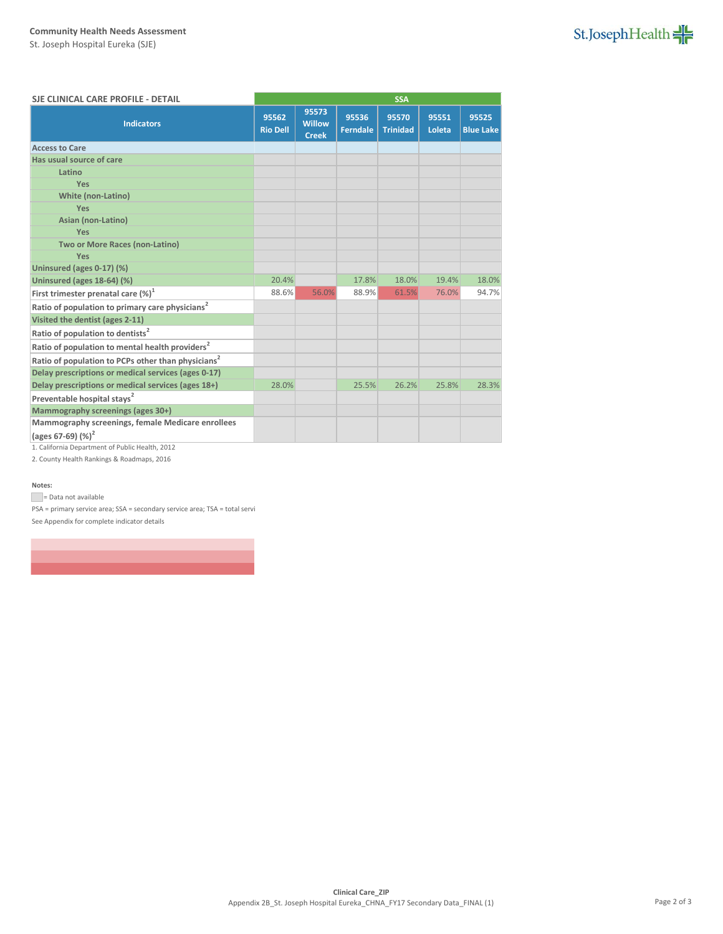## **Community Health Needs Assessment**

St. Joseph Hospital Eureka (SJE)

| St.JosephHealth |  |  |  |  |  |
|-----------------|--|--|--|--|--|
|-----------------|--|--|--|--|--|

| SJE CLINICAL CARE PROFILE - DETAIL                                         |                          | <b>SSA</b>                             |                          |                          |                 |                           |
|----------------------------------------------------------------------------|--------------------------|----------------------------------------|--------------------------|--------------------------|-----------------|---------------------------|
| <b>Indicators</b>                                                          | 95562<br><b>Rio Dell</b> | 95573<br><b>Willow</b><br><b>Creek</b> | 95536<br><b>Ferndale</b> | 95570<br><b>Trinidad</b> | 95551<br>Loleta | 95525<br><b>Blue Lake</b> |
| <b>Access to Care</b>                                                      |                          |                                        |                          |                          |                 |                           |
| Has usual source of care                                                   |                          |                                        |                          |                          |                 |                           |
| Latino                                                                     |                          |                                        |                          |                          |                 |                           |
| Yes                                                                        |                          |                                        |                          |                          |                 |                           |
| <b>White (non-Latino)</b>                                                  |                          |                                        |                          |                          |                 |                           |
| Yes                                                                        |                          |                                        |                          |                          |                 |                           |
| Asian (non-Latino)                                                         |                          |                                        |                          |                          |                 |                           |
| Yes                                                                        |                          |                                        |                          |                          |                 |                           |
| Two or More Races (non-Latino)                                             |                          |                                        |                          |                          |                 |                           |
| Yes                                                                        |                          |                                        |                          |                          |                 |                           |
| Uninsured (ages 0-17) (%)                                                  |                          |                                        |                          |                          |                 |                           |
| Uninsured (ages 18-64) (%)                                                 | 20.4%                    |                                        | 17.8%                    | 18.0%                    | 19.4%           | 18.0%                     |
| First trimester prenatal care $(\%)^1$                                     | 88.6%                    | 56.0%                                  | 88.9%                    | 61.5%                    | 76.0%           | 94.7%                     |
| Ratio of population to primary care physicians <sup>2</sup>                |                          |                                        |                          |                          |                 |                           |
| Visited the dentist (ages 2-11)                                            |                          |                                        |                          |                          |                 |                           |
| Ratio of population to dentists <sup>2</sup>                               |                          |                                        |                          |                          |                 |                           |
| Ratio of population to mental health providers <sup>2</sup>                |                          |                                        |                          |                          |                 |                           |
| Ratio of population to PCPs other than physicians <sup>2</sup>             |                          |                                        |                          |                          |                 |                           |
| Delay prescriptions or medical services (ages 0-17)                        |                          |                                        |                          |                          |                 |                           |
| Delay prescriptions or medical services (ages 18+)                         | 28.0%                    |                                        | 25.5%                    | 26.2%                    | 25.8%           | 28.3%                     |
| Preventable hospital stays <sup>2</sup>                                    |                          |                                        |                          |                          |                 |                           |
| Mammography screenings (ages 30+)                                          |                          |                                        |                          |                          |                 |                           |
| Mammography screenings, female Medicare enrollees<br>(ages 67-69) $(\%)^2$ |                          |                                        |                          |                          |                 |                           |

1. California Department of Public Health, 2012

2. County Health Rankings & Roadmaps, 2016

#### **Notes:**

= Data not available

 $PSA$  = primary service area;  $SSA$  = secondary service area;  $TSA$  = total servi See Appendix for complete indicator details